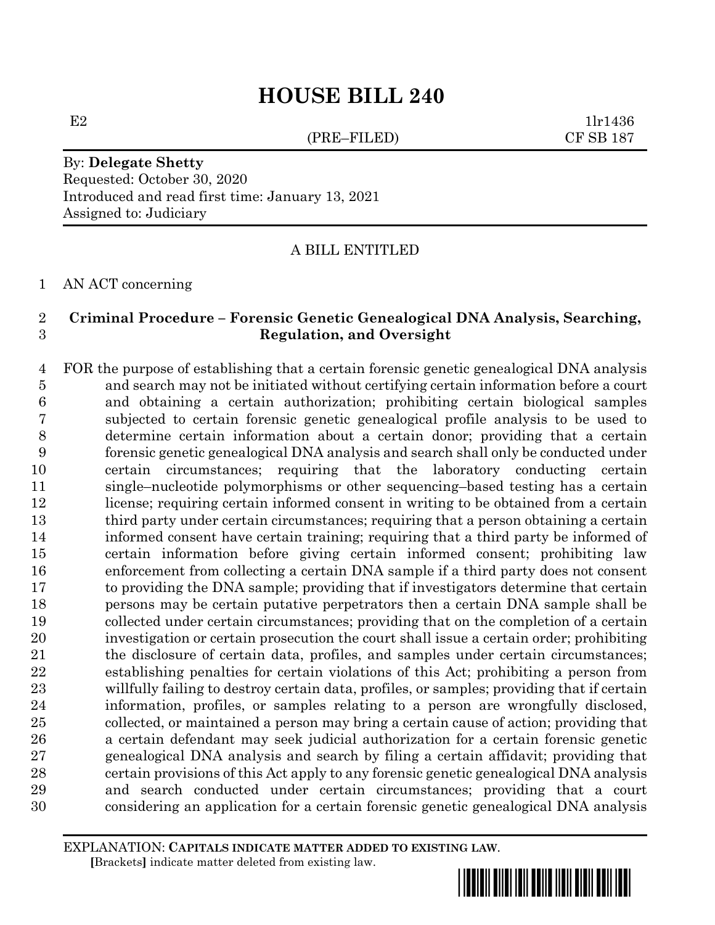# **HOUSE BILL 240**

(PRE–FILED) CF SB 187

 $E2$  1lr1436

## By: **Delegate Shetty** Requested: October 30, 2020 Introduced and read first time: January 13, 2021 Assigned to: Judiciary

A BILL ENTITLED

AN ACT concerning

## **Criminal Procedure – Forensic Genetic Genealogical DNA Analysis, Searching, Regulation, and Oversight**

 FOR the purpose of establishing that a certain forensic genetic genealogical DNA analysis and search may not be initiated without certifying certain information before a court and obtaining a certain authorization; prohibiting certain biological samples subjected to certain forensic genetic genealogical profile analysis to be used to determine certain information about a certain donor; providing that a certain forensic genetic genealogical DNA analysis and search shall only be conducted under certain circumstances; requiring that the laboratory conducting certain single–nucleotide polymorphisms or other sequencing–based testing has a certain license; requiring certain informed consent in writing to be obtained from a certain third party under certain circumstances; requiring that a person obtaining a certain informed consent have certain training; requiring that a third party be informed of certain information before giving certain informed consent; prohibiting law enforcement from collecting a certain DNA sample if a third party does not consent to providing the DNA sample; providing that if investigators determine that certain persons may be certain putative perpetrators then a certain DNA sample shall be collected under certain circumstances; providing that on the completion of a certain investigation or certain prosecution the court shall issue a certain order; prohibiting the disclosure of certain data, profiles, and samples under certain circumstances; establishing penalties for certain violations of this Act; prohibiting a person from willfully failing to destroy certain data, profiles, or samples; providing that if certain information, profiles, or samples relating to a person are wrongfully disclosed, collected, or maintained a person may bring a certain cause of action; providing that a certain defendant may seek judicial authorization for a certain forensic genetic genealogical DNA analysis and search by filing a certain affidavit; providing that certain provisions of this Act apply to any forensic genetic genealogical DNA analysis and search conducted under certain circumstances; providing that a court considering an application for a certain forensic genetic genealogical DNA analysis

EXPLANATION: **CAPITALS INDICATE MATTER ADDED TO EXISTING LAW**.  **[**Brackets**]** indicate matter deleted from existing law.

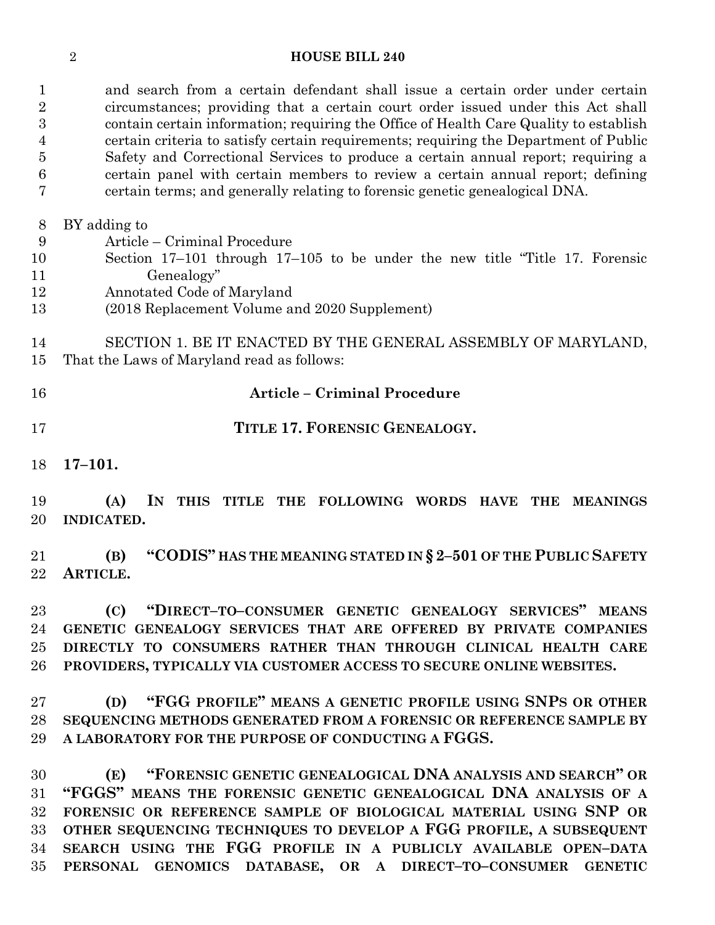### **HOUSE BILL 240**

 and search from a certain defendant shall issue a certain order under certain circumstances; providing that a certain court order issued under this Act shall contain certain information; requiring the Office of Health Care Quality to establish certain criteria to satisfy certain requirements; requiring the Department of Public Safety and Correctional Services to produce a certain annual report; requiring a certain panel with certain members to review a certain annual report; defining certain terms; and generally relating to forensic genetic genealogical DNA.

BY adding to

- Article Criminal Procedure
- Section 17–101 through 17–105 to be under the new title "Title 17. Forensic Genealogy"
- Annotated Code of Maryland
- (2018 Replacement Volume and 2020 Supplement)
- SECTION 1. BE IT ENACTED BY THE GENERAL ASSEMBLY OF MARYLAND,
- That the Laws of Maryland read as follows:
- 
- **Article – Criminal Procedure**
- **TITLE 17. FORENSIC GENEALOGY.**
- **17–101.**

 **(A) IN THIS TITLE THE FOLLOWING WORDS HAVE THE MEANINGS INDICATED.**

 **(B) "CODIS" HAS THE MEANING STATED IN § 2–501 OF THE PUBLIC SAFETY ARTICLE.**

 **(C) "DIRECT–TO–CONSUMER GENETIC GENEALOGY SERVICES" MEANS GENETIC GENEALOGY SERVICES THAT ARE OFFERED BY PRIVATE COMPANIES DIRECTLY TO CONSUMERS RATHER THAN THROUGH CLINICAL HEALTH CARE PROVIDERS, TYPICALLY VIA CUSTOMER ACCESS TO SECURE ONLINE WEBSITES.**

 **(D) "FGG PROFILE" MEANS A GENETIC PROFILE USING SNPS OR OTHER SEQUENCING METHODS GENERATED FROM A FORENSIC OR REFERENCE SAMPLE BY A LABORATORY FOR THE PURPOSE OF CONDUCTING A FGGS.**

 **(E) "FORENSIC GENETIC GENEALOGICAL DNA ANALYSIS AND SEARCH" OR "FGGS" MEANS THE FORENSIC GENETIC GENEALOGICAL DNA ANALYSIS OF A FORENSIC OR REFERENCE SAMPLE OF BIOLOGICAL MATERIAL USING SNP OR OTHER SEQUENCING TECHNIQUES TO DEVELOP A FGG PROFILE, A SUBSEQUENT SEARCH USING THE FGG PROFILE IN A PUBLICLY AVAILABLE OPEN–DATA PERSONAL GENOMICS DATABASE, OR A DIRECT–TO–CONSUMER GENETIC**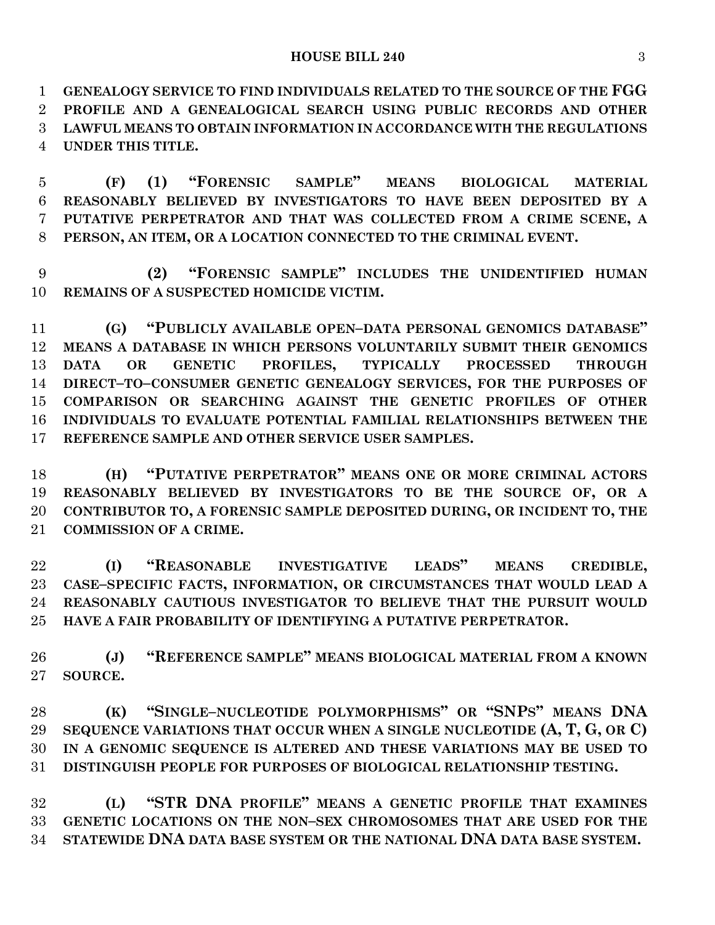#### **HOUSE BILL 240** 3

 **GENEALOGY SERVICE TO FIND INDIVIDUALS RELATED TO THE SOURCE OF THE FGG PROFILE AND A GENEALOGICAL SEARCH USING PUBLIC RECORDS AND OTHER LAWFUL MEANS TO OBTAIN INFORMATION IN ACCORDANCE WITH THE REGULATIONS UNDER THIS TITLE.**

 **(F) (1) "FORENSIC SAMPLE" MEANS BIOLOGICAL MATERIAL REASONABLY BELIEVED BY INVESTIGATORS TO HAVE BEEN DEPOSITED BY A PUTATIVE PERPETRATOR AND THAT WAS COLLECTED FROM A CRIME SCENE, A PERSON, AN ITEM, OR A LOCATION CONNECTED TO THE CRIMINAL EVENT.**

 **(2) "FORENSIC SAMPLE" INCLUDES THE UNIDENTIFIED HUMAN REMAINS OF A SUSPECTED HOMICIDE VICTIM.**

 **(G) "PUBLICLY AVAILABLE OPEN–DATA PERSONAL GENOMICS DATABASE" MEANS A DATABASE IN WHICH PERSONS VOLUNTARILY SUBMIT THEIR GENOMICS DATA OR GENETIC PROFILES, TYPICALLY PROCESSED THROUGH DIRECT–TO–CONSUMER GENETIC GENEALOGY SERVICES, FOR THE PURPOSES OF COMPARISON OR SEARCHING AGAINST THE GENETIC PROFILES OF OTHER INDIVIDUALS TO EVALUATE POTENTIAL FAMILIAL RELATIONSHIPS BETWEEN THE REFERENCE SAMPLE AND OTHER SERVICE USER SAMPLES.**

 **(H) "PUTATIVE PERPETRATOR" MEANS ONE OR MORE CRIMINAL ACTORS REASONABLY BELIEVED BY INVESTIGATORS TO BE THE SOURCE OF, OR A CONTRIBUTOR TO, A FORENSIC SAMPLE DEPOSITED DURING, OR INCIDENT TO, THE COMMISSION OF A CRIME.**

 **(I) "REASONABLE INVESTIGATIVE LEADS" MEANS CREDIBLE, CASE–SPECIFIC FACTS, INFORMATION, OR CIRCUMSTANCES THAT WOULD LEAD A REASONABLY CAUTIOUS INVESTIGATOR TO BELIEVE THAT THE PURSUIT WOULD HAVE A FAIR PROBABILITY OF IDENTIFYING A PUTATIVE PERPETRATOR.**

 **(J) "REFERENCE SAMPLE" MEANS BIOLOGICAL MATERIAL FROM A KNOWN SOURCE.**

 **(K) "SINGLE–NUCLEOTIDE POLYMORPHISMS" OR "SNPS" MEANS DNA SEQUENCE VARIATIONS THAT OCCUR WHEN A SINGLE NUCLEOTIDE (A, T, G, OR C) IN A GENOMIC SEQUENCE IS ALTERED AND THESE VARIATIONS MAY BE USED TO DISTINGUISH PEOPLE FOR PURPOSES OF BIOLOGICAL RELATIONSHIP TESTING.**

 **(L) "STR DNA PROFILE" MEANS A GENETIC PROFILE THAT EXAMINES GENETIC LOCATIONS ON THE NON–SEX CHROMOSOMES THAT ARE USED FOR THE STATEWIDE DNA DATA BASE SYSTEM OR THE NATIONAL DNA DATA BASE SYSTEM.**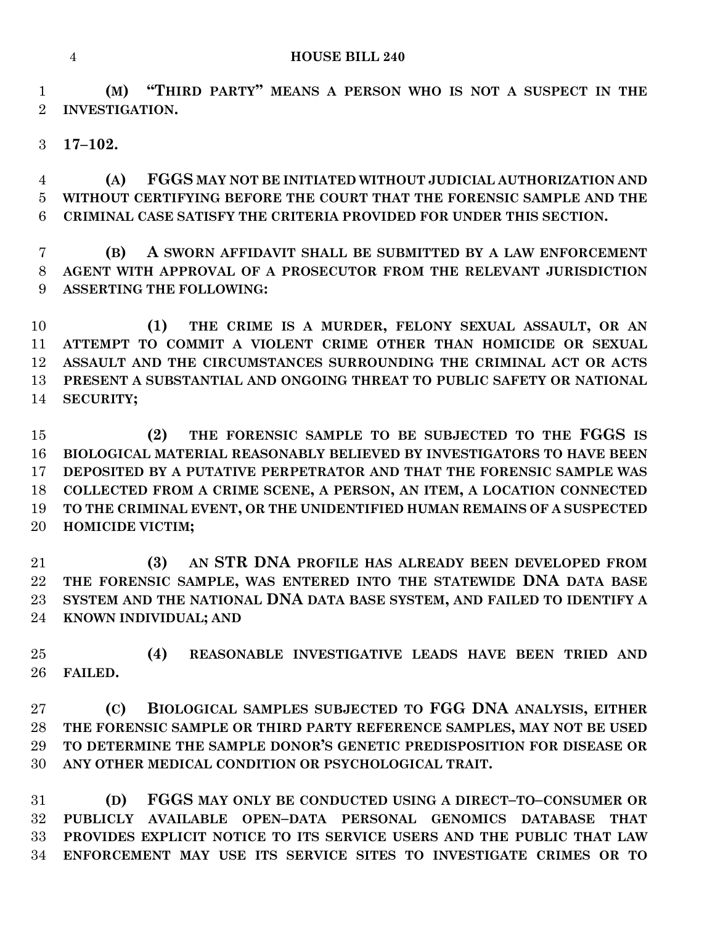**(M) "THIRD PARTY" MEANS A PERSON WHO IS NOT A SUSPECT IN THE INVESTIGATION.**

**17–102.**

 **(A) FGGS MAY NOT BE INITIATED WITHOUT JUDICIAL AUTHORIZATION AND WITHOUT CERTIFYING BEFORE THE COURT THAT THE FORENSIC SAMPLE AND THE CRIMINAL CASE SATISFY THE CRITERIA PROVIDED FOR UNDER THIS SECTION.**

 **(B) A SWORN AFFIDAVIT SHALL BE SUBMITTED BY A LAW ENFORCEMENT AGENT WITH APPROVAL OF A PROSECUTOR FROM THE RELEVANT JURISDICTION ASSERTING THE FOLLOWING:**

 **(1) THE CRIME IS A MURDER, FELONY SEXUAL ASSAULT, OR AN ATTEMPT TO COMMIT A VIOLENT CRIME OTHER THAN HOMICIDE OR SEXUAL ASSAULT AND THE CIRCUMSTANCES SURROUNDING THE CRIMINAL ACT OR ACTS PRESENT A SUBSTANTIAL AND ONGOING THREAT TO PUBLIC SAFETY OR NATIONAL SECURITY;**

 **(2) THE FORENSIC SAMPLE TO BE SUBJECTED TO THE FGGS IS BIOLOGICAL MATERIAL REASONABLY BELIEVED BY INVESTIGATORS TO HAVE BEEN DEPOSITED BY A PUTATIVE PERPETRATOR AND THAT THE FORENSIC SAMPLE WAS COLLECTED FROM A CRIME SCENE, A PERSON, AN ITEM, A LOCATION CONNECTED TO THE CRIMINAL EVENT, OR THE UNIDENTIFIED HUMAN REMAINS OF A SUSPECTED HOMICIDE VICTIM;**

 **(3) AN STR DNA PROFILE HAS ALREADY BEEN DEVELOPED FROM THE FORENSIC SAMPLE, WAS ENTERED INTO THE STATEWIDE DNA DATA BASE SYSTEM AND THE NATIONAL DNA DATA BASE SYSTEM, AND FAILED TO IDENTIFY A KNOWN INDIVIDUAL; AND**

 **(4) REASONABLE INVESTIGATIVE LEADS HAVE BEEN TRIED AND FAILED.**

 **(C) BIOLOGICAL SAMPLES SUBJECTED TO FGG DNA ANALYSIS, EITHER THE FORENSIC SAMPLE OR THIRD PARTY REFERENCE SAMPLES, MAY NOT BE USED TO DETERMINE THE SAMPLE DONOR'S GENETIC PREDISPOSITION FOR DISEASE OR ANY OTHER MEDICAL CONDITION OR PSYCHOLOGICAL TRAIT.**

 **(D) FGGS MAY ONLY BE CONDUCTED USING A DIRECT–TO–CONSUMER OR PUBLICLY AVAILABLE OPEN–DATA PERSONAL GENOMICS DATABASE THAT PROVIDES EXPLICIT NOTICE TO ITS SERVICE USERS AND THE PUBLIC THAT LAW ENFORCEMENT MAY USE ITS SERVICE SITES TO INVESTIGATE CRIMES OR TO**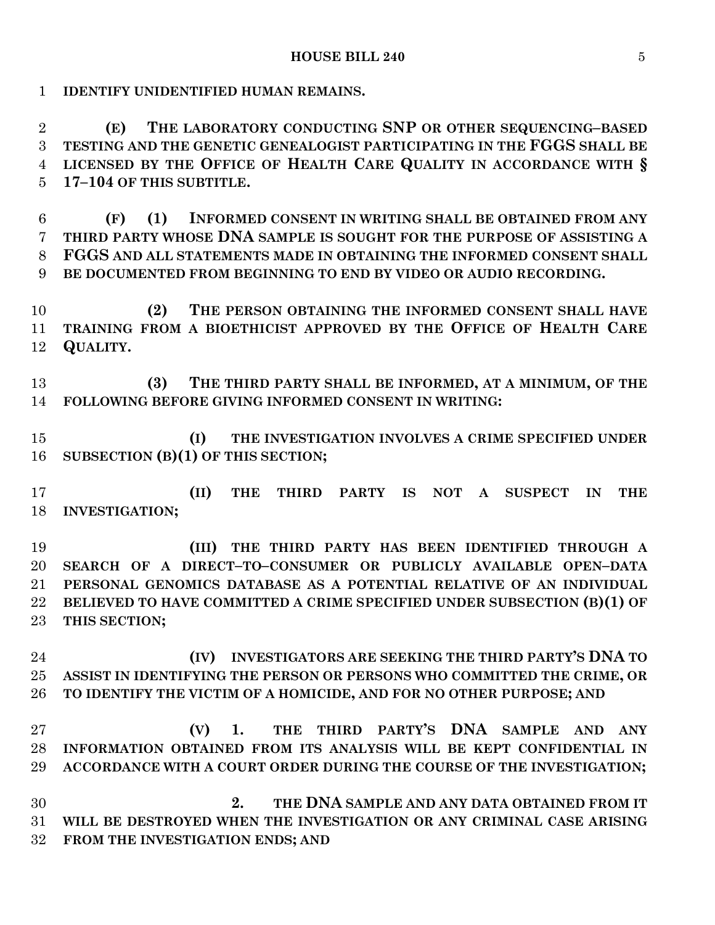**IDENTIFY UNIDENTIFIED HUMAN REMAINS.**

 **(E) THE LABORATORY CONDUCTING SNP OR OTHER SEQUENCING–BASED TESTING AND THE GENETIC GENEALOGIST PARTICIPATING IN THE FGGS SHALL BE LICENSED BY THE OFFICE OF HEALTH CARE QUALITY IN ACCORDANCE WITH § 17–104 OF THIS SUBTITLE.**

 **(F) (1) INFORMED CONSENT IN WRITING SHALL BE OBTAINED FROM ANY THIRD PARTY WHOSE DNA SAMPLE IS SOUGHT FOR THE PURPOSE OF ASSISTING A FGGS AND ALL STATEMENTS MADE IN OBTAINING THE INFORMED CONSENT SHALL BE DOCUMENTED FROM BEGINNING TO END BY VIDEO OR AUDIO RECORDING.**

 **(2) THE PERSON OBTAINING THE INFORMED CONSENT SHALL HAVE TRAINING FROM A BIOETHICIST APPROVED BY THE OFFICE OF HEALTH CARE QUALITY.**

 **(3) THE THIRD PARTY SHALL BE INFORMED, AT A MINIMUM, OF THE FOLLOWING BEFORE GIVING INFORMED CONSENT IN WRITING:**

 **(I) THE INVESTIGATION INVOLVES A CRIME SPECIFIED UNDER SUBSECTION (B)(1) OF THIS SECTION;**

 **(II) THE THIRD PARTY IS NOT A SUSPECT IN THE INVESTIGATION;**

 **(III) THE THIRD PARTY HAS BEEN IDENTIFIED THROUGH A SEARCH OF A DIRECT–TO–CONSUMER OR PUBLICLY AVAILABLE OPEN–DATA PERSONAL GENOMICS DATABASE AS A POTENTIAL RELATIVE OF AN INDIVIDUAL BELIEVED TO HAVE COMMITTED A CRIME SPECIFIED UNDER SUBSECTION (B)(1) OF THIS SECTION;**

 **(IV) INVESTIGATORS ARE SEEKING THE THIRD PARTY'S DNA TO ASSIST IN IDENTIFYING THE PERSON OR PERSONS WHO COMMITTED THE CRIME, OR TO IDENTIFY THE VICTIM OF A HOMICIDE, AND FOR NO OTHER PURPOSE; AND**

 **(V) 1. THE THIRD PARTY'S DNA SAMPLE AND ANY INFORMATION OBTAINED FROM ITS ANALYSIS WILL BE KEPT CONFIDENTIAL IN ACCORDANCE WITH A COURT ORDER DURING THE COURSE OF THE INVESTIGATION;**

 **2. THE DNA SAMPLE AND ANY DATA OBTAINED FROM IT WILL BE DESTROYED WHEN THE INVESTIGATION OR ANY CRIMINAL CASE ARISING FROM THE INVESTIGATION ENDS; AND**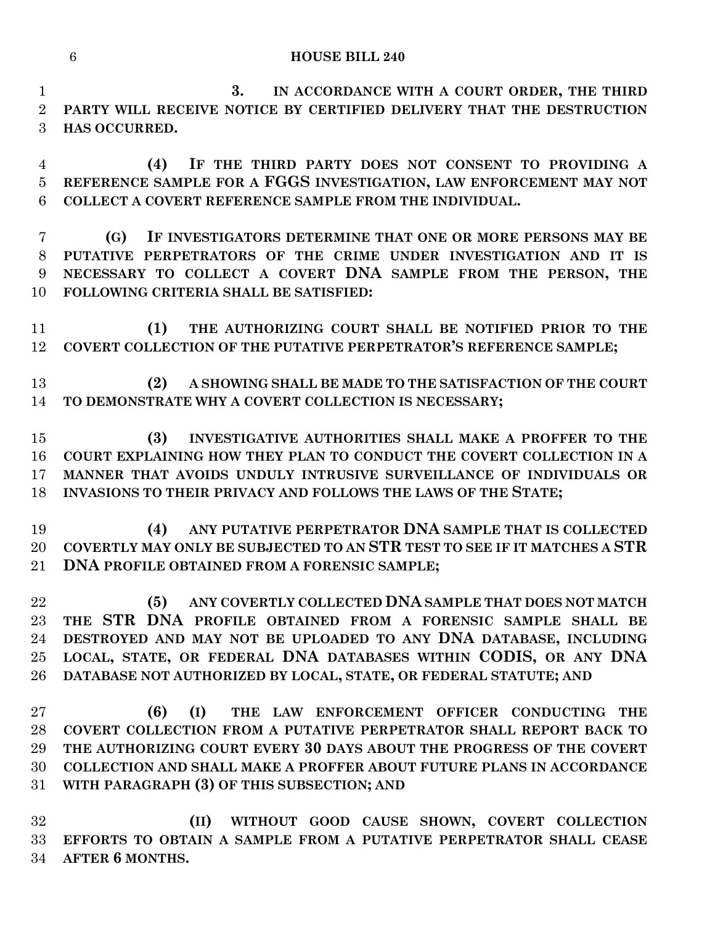**3. IN ACCORDANCE WITH A COURT ORDER, THE THIRD PARTY WILL RECEIVE NOTICE BY CERTIFIED DELIVERY THAT THE DESTRUCTION HAS OCCURRED.**

 **(4) IF THE THIRD PARTY DOES NOT CONSENT TO PROVIDING A REFERENCE SAMPLE FOR A FGGS INVESTIGATION, LAW ENFORCEMENT MAY NOT COLLECT A COVERT REFERENCE SAMPLE FROM THE INDIVIDUAL.**

 **(G) IF INVESTIGATORS DETERMINE THAT ONE OR MORE PERSONS MAY BE PUTATIVE PERPETRATORS OF THE CRIME UNDER INVESTIGATION AND IT IS NECESSARY TO COLLECT A COVERT DNA SAMPLE FROM THE PERSON, THE FOLLOWING CRITERIA SHALL BE SATISFIED:**

 **(1) THE AUTHORIZING COURT SHALL BE NOTIFIED PRIOR TO THE COVERT COLLECTION OF THE PUTATIVE PERPETRATOR'S REFERENCE SAMPLE;**

 **(2) A SHOWING SHALL BE MADE TO THE SATISFACTION OF THE COURT TO DEMONSTRATE WHY A COVERT COLLECTION IS NECESSARY;**

 **(3) INVESTIGATIVE AUTHORITIES SHALL MAKE A PROFFER TO THE COURT EXPLAINING HOW THEY PLAN TO CONDUCT THE COVERT COLLECTION IN A MANNER THAT AVOIDS UNDULY INTRUSIVE SURVEILLANCE OF INDIVIDUALS OR INVASIONS TO THEIR PRIVACY AND FOLLOWS THE LAWS OF THE STATE;**

 **(4) ANY PUTATIVE PERPETRATOR DNA SAMPLE THAT IS COLLECTED COVERTLY MAY ONLY BE SUBJECTED TO AN STR TEST TO SEE IF IT MATCHES A STR DNA PROFILE OBTAINED FROM A FORENSIC SAMPLE;**

 **(5) ANY COVERTLY COLLECTED DNA SAMPLE THAT DOES NOT MATCH THE STR DNA PROFILE OBTAINED FROM A FORENSIC SAMPLE SHALL BE DESTROYED AND MAY NOT BE UPLOADED TO ANY DNA DATABASE, INCLUDING LOCAL, STATE, OR FEDERAL DNA DATABASES WITHIN CODIS, OR ANY DNA DATABASE NOT AUTHORIZED BY LOCAL, STATE, OR FEDERAL STATUTE; AND**

 **(6) (I) THE LAW ENFORCEMENT OFFICER CONDUCTING THE COVERT COLLECTION FROM A PUTATIVE PERPETRATOR SHALL REPORT BACK TO THE AUTHORIZING COURT EVERY 30 DAYS ABOUT THE PROGRESS OF THE COVERT COLLECTION AND SHALL MAKE A PROFFER ABOUT FUTURE PLANS IN ACCORDANCE WITH PARAGRAPH (3) OF THIS SUBSECTION; AND** 

 **(II) WITHOUT GOOD CAUSE SHOWN, COVERT COLLECTION EFFORTS TO OBTAIN A SAMPLE FROM A PUTATIVE PERPETRATOR SHALL CEASE AFTER 6 MONTHS.**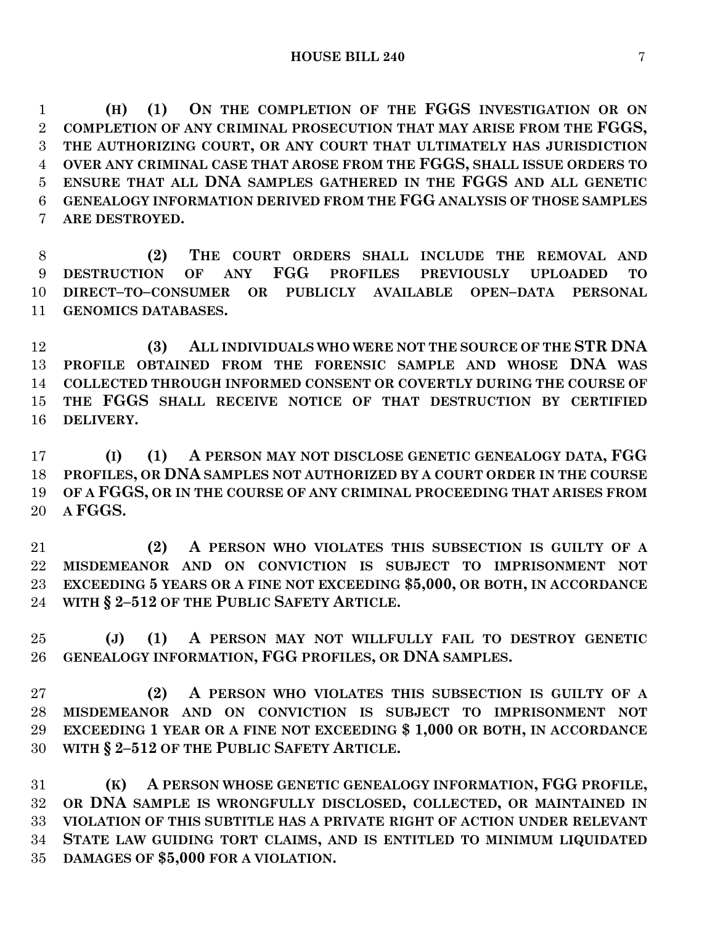**(H) (1) ON THE COMPLETION OF THE FGGS INVESTIGATION OR ON COMPLETION OF ANY CRIMINAL PROSECUTION THAT MAY ARISE FROM THE FGGS, THE AUTHORIZING COURT, OR ANY COURT THAT ULTIMATELY HAS JURISDICTION OVER ANY CRIMINAL CASE THAT AROSE FROM THE FGGS, SHALL ISSUE ORDERS TO ENSURE THAT ALL DNA SAMPLES GATHERED IN THE FGGS AND ALL GENETIC GENEALOGY INFORMATION DERIVED FROM THE FGG ANALYSIS OF THOSE SAMPLES ARE DESTROYED.**

 **(2) THE COURT ORDERS SHALL INCLUDE THE REMOVAL AND DESTRUCTION OF ANY FGG PROFILES PREVIOUSLY UPLOADED TO DIRECT–TO–CONSUMER OR PUBLICLY AVAILABLE OPEN–DATA PERSONAL GENOMICS DATABASES.**

 **(3) ALL INDIVIDUALS WHO WERE NOT THE SOURCE OF THE STR DNA PROFILE OBTAINED FROM THE FORENSIC SAMPLE AND WHOSE DNA WAS COLLECTED THROUGH INFORMED CONSENT OR COVERTLY DURING THE COURSE OF THE FGGS SHALL RECEIVE NOTICE OF THAT DESTRUCTION BY CERTIFIED DELIVERY.**

 **(I) (1) A PERSON MAY NOT DISCLOSE GENETIC GENEALOGY DATA, FGG PROFILES, OR DNA SAMPLES NOT AUTHORIZED BY A COURT ORDER IN THE COURSE OF A FGGS, OR IN THE COURSE OF ANY CRIMINAL PROCEEDING THAT ARISES FROM A FGGS.**

 **(2) A PERSON WHO VIOLATES THIS SUBSECTION IS GUILTY OF A MISDEMEANOR AND ON CONVICTION IS SUBJECT TO IMPRISONMENT NOT EXCEEDING 5 YEARS OR A FINE NOT EXCEEDING \$5,000, OR BOTH, IN ACCORDANCE WITH § 2–512 OF THE PUBLIC SAFETY ARTICLE.**

 **(J) (1) A PERSON MAY NOT WILLFULLY FAIL TO DESTROY GENETIC GENEALOGY INFORMATION, FGG PROFILES, OR DNA SAMPLES.**

 **(2) A PERSON WHO VIOLATES THIS SUBSECTION IS GUILTY OF A MISDEMEANOR AND ON CONVICTION IS SUBJECT TO IMPRISONMENT NOT EXCEEDING 1 YEAR OR A FINE NOT EXCEEDING \$ 1,000 OR BOTH, IN ACCORDANCE WITH § 2–512 OF THE PUBLIC SAFETY ARTICLE.**

 **(K) A PERSON WHOSE GENETIC GENEALOGY INFORMATION, FGG PROFILE, OR DNA SAMPLE IS WRONGFULLY DISCLOSED, COLLECTED, OR MAINTAINED IN VIOLATION OF THIS SUBTITLE HAS A PRIVATE RIGHT OF ACTION UNDER RELEVANT STATE LAW GUIDING TORT CLAIMS, AND IS ENTITLED TO MINIMUM LIQUIDATED DAMAGES OF \$5,000 FOR A VIOLATION.**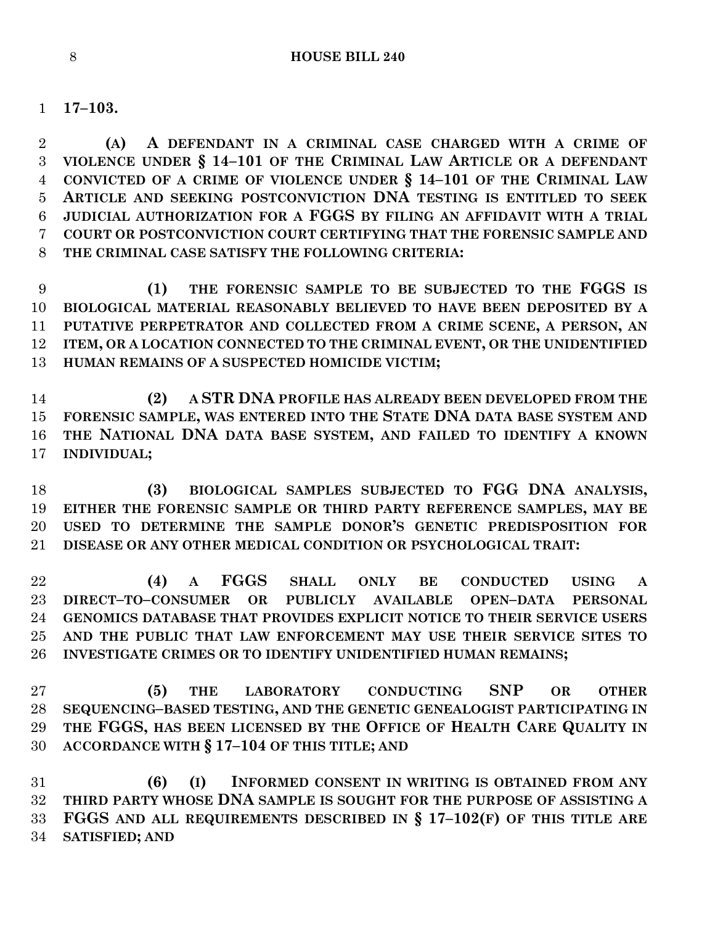**17–103.**

 **(A) A DEFENDANT IN A CRIMINAL CASE CHARGED WITH A CRIME OF VIOLENCE UNDER § 14–101 OF THE CRIMINAL LAW ARTICLE OR A DEFENDANT CONVICTED OF A CRIME OF VIOLENCE UNDER § 14–101 OF THE CRIMINAL LAW ARTICLE AND SEEKING POSTCONVICTION DNA TESTING IS ENTITLED TO SEEK JUDICIAL AUTHORIZATION FOR A FGGS BY FILING AN AFFIDAVIT WITH A TRIAL COURT OR POSTCONVICTION COURT CERTIFYING THAT THE FORENSIC SAMPLE AND THE CRIMINAL CASE SATISFY THE FOLLOWING CRITERIA:**

 **(1) THE FORENSIC SAMPLE TO BE SUBJECTED TO THE FGGS IS BIOLOGICAL MATERIAL REASONABLY BELIEVED TO HAVE BEEN DEPOSITED BY A PUTATIVE PERPETRATOR AND COLLECTED FROM A CRIME SCENE, A PERSON, AN ITEM, OR A LOCATION CONNECTED TO THE CRIMINAL EVENT, OR THE UNIDENTIFIED HUMAN REMAINS OF A SUSPECTED HOMICIDE VICTIM;**

 **(2) A STR DNA PROFILE HAS ALREADY BEEN DEVELOPED FROM THE FORENSIC SAMPLE, WAS ENTERED INTO THE STATE DNA DATA BASE SYSTEM AND THE NATIONAL DNA DATA BASE SYSTEM, AND FAILED TO IDENTIFY A KNOWN INDIVIDUAL;**

 **(3) BIOLOGICAL SAMPLES SUBJECTED TO FGG DNA ANALYSIS, EITHER THE FORENSIC SAMPLE OR THIRD PARTY REFERENCE SAMPLES, MAY BE USED TO DETERMINE THE SAMPLE DONOR'S GENETIC PREDISPOSITION FOR DISEASE OR ANY OTHER MEDICAL CONDITION OR PSYCHOLOGICAL TRAIT:**

 **(4) A FGGS SHALL ONLY BE CONDUCTED USING A DIRECT–TO–CONSUMER OR PUBLICLY AVAILABLE OPEN–DATA PERSONAL GENOMICS DATABASE THAT PROVIDES EXPLICIT NOTICE TO THEIR SERVICE USERS AND THE PUBLIC THAT LAW ENFORCEMENT MAY USE THEIR SERVICE SITES TO INVESTIGATE CRIMES OR TO IDENTIFY UNIDENTIFIED HUMAN REMAINS;**

 **(5) THE LABORATORY CONDUCTING SNP OR OTHER SEQUENCING–BASED TESTING, AND THE GENETIC GENEALOGIST PARTICIPATING IN THE FGGS, HAS BEEN LICENSED BY THE OFFICE OF HEALTH CARE QUALITY IN ACCORDANCE WITH § 17–104 OF THIS TITLE; AND**

 **(6) (I) INFORMED CONSENT IN WRITING IS OBTAINED FROM ANY THIRD PARTY WHOSE DNA SAMPLE IS SOUGHT FOR THE PURPOSE OF ASSISTING A FGGS AND ALL REQUIREMENTS DESCRIBED IN § 17–102(F) OF THIS TITLE ARE SATISFIED; AND**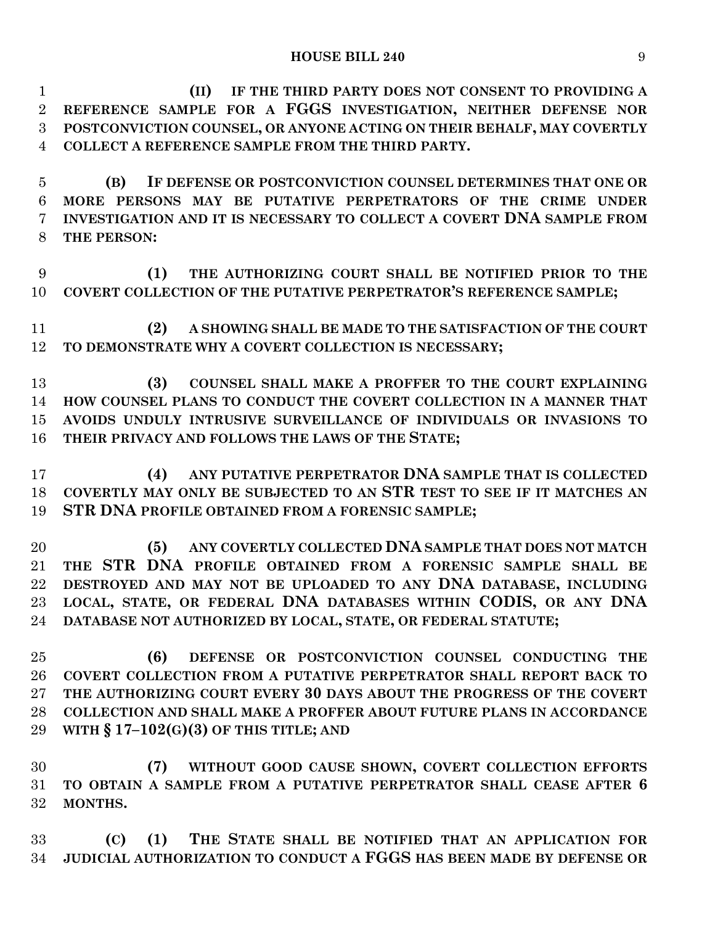| $\mathbf{1}$    | IF THE THIRD PARTY DOES NOT CONSENT TO PROVIDING A<br>(II)                  |
|-----------------|-----------------------------------------------------------------------------|
| $\overline{2}$  | REFERENCE SAMPLE FOR A FGGS INVESTIGATION, NEITHER DEFENSE NOR              |
| 3               | POSTCONVICTION COUNSEL, OR ANYONE ACTING ON THEIR BEHALF, MAY COVERTLY      |
| $\overline{4}$  | COLLECT A REFERENCE SAMPLE FROM THE THIRD PARTY.                            |
|                 |                                                                             |
| 5               | IF DEFENSE OR POSTCONVICTION COUNSEL DETERMINES THAT ONE OR<br>(B)          |
| $6\phantom{.}6$ | MORE PERSONS MAY BE PUTATIVE PERPETRATORS OF THE CRIME UNDER                |
| 7               | INVESTIGATION AND IT IS NECESSARY TO COLLECT A COVERT DNA SAMPLE FROM       |
| 8               | THE PERSON:                                                                 |
|                 |                                                                             |
| 9               | THE AUTHORIZING COURT SHALL BE NOTIFIED PRIOR TO THE<br>(1)                 |
| 10              | COVERT COLLECTION OF THE PUTATIVE PERPETRATOR'S REFERENCE SAMPLE;           |
|                 |                                                                             |
| 11              | A SHOWING SHALL BE MADE TO THE SATISFACTION OF THE COURT<br>(2)             |
| 12              | TO DEMONSTRATE WHY A COVERT COLLECTION IS NECESSARY;                        |
|                 |                                                                             |
| 13              | COUNSEL SHALL MAKE A PROFFER TO THE COURT EXPLAINING<br>(3)                 |
| 14              | HOW COUNSEL PLANS TO CONDUCT THE COVERT COLLECTION IN A MANNER THAT         |
| 15              | AVOIDS UNDULY INTRUSIVE SURVEILLANCE OF INDIVIDUALS OR INVASIONS TO         |
|                 |                                                                             |
| 16              | THEIR PRIVACY AND FOLLOWS THE LAWS OF THE STATE;                            |
|                 | ANY PUTATIVE PERPETRATOR DNA SAMPLE THAT IS COLLECTED<br>(4)                |
| 17              |                                                                             |
| 18              | COVERTLY MAY ONLY BE SUBJECTED TO AN STR TEST TO SEE IF IT MATCHES AN       |
| 19              | STR DNA PROFILE OBTAINED FROM A FORENSIC SAMPLE;                            |
|                 |                                                                             |
| 20              | ANY COVERTLY COLLECTED DNA SAMPLE THAT DOES NOT MATCH<br>(5)                |
| 21              | THE STR DNA PROFILE OBTAINED FROM A FORENSIC SAMPLE SHALL BE                |
| 22              | DESTROYED AND MAY NOT BE UPLOADED TO ANY DNA DATABASE, INCLUDING            |
| 23              | LOCAL, STATE, OR FEDERAL DNA DATABASES WITHIN CODIS, OR ANY DNA             |
|                 | 24 DATABASE NOT AUTHORIZED BY LOCAL, STATE, OR FEDERAL STATUTE;             |
|                 |                                                                             |
| 25              | (6)<br>DEFENSE OR POSTCONVICTION COUNSEL CONDUCTING THE                     |
| 26              | COVERT COLLECTION FROM A PUTATIVE PERPETRATOR SHALL REPORT BACK TO          |
| 27              | THE AUTHORIZING COURT EVERY 30 DAYS ABOUT THE PROGRESS OF THE COVERT        |
| 28              | <b>COLLECTION AND SHALL MAKE A PROFFER ABOUT FUTURE PLANS IN ACCORDANCE</b> |
| 29              | WITH $\S 17-102(G)(3)$ OF THIS TITLE; AND                                   |
|                 |                                                                             |
| 30              | WITHOUT GOOD CAUSE SHOWN, COVERT COLLECTION EFFORTS<br>(7)                  |
| 31              | TO OBTAIN A SAMPLE FROM A PUTATIVE PERPETRATOR SHALL CEASE AFTER 6          |
| 32              | MONTHS.                                                                     |
|                 |                                                                             |
| 33              | THE STATE SHALL BE NOTIFIED THAT AN APPLICATION FOR<br>(1)<br>(C)           |
| 34              | JUDICIAL AUTHORIZATION TO CONDUCT A FGGS HAS BEEN MADE BY DEFENSE OR        |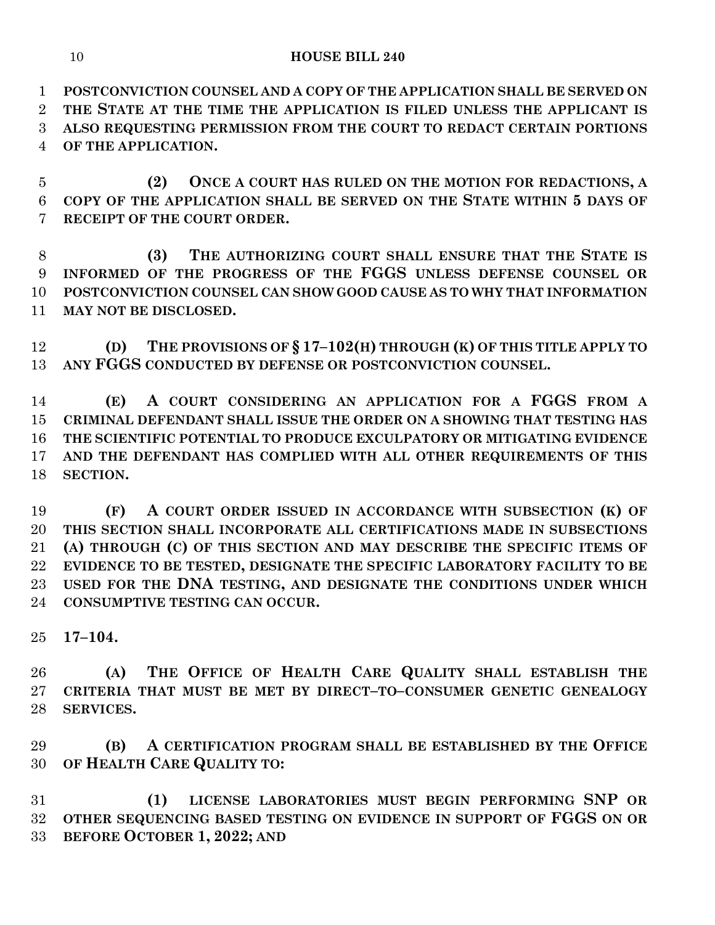**POSTCONVICTION COUNSEL AND A COPY OF THE APPLICATION SHALL BE SERVED ON THE STATE AT THE TIME THE APPLICATION IS FILED UNLESS THE APPLICANT IS ALSO REQUESTING PERMISSION FROM THE COURT TO REDACT CERTAIN PORTIONS OF THE APPLICATION.**

 **(2) ONCE A COURT HAS RULED ON THE MOTION FOR REDACTIONS, A COPY OF THE APPLICATION SHALL BE SERVED ON THE STATE WITHIN 5 DAYS OF RECEIPT OF THE COURT ORDER.**

 **(3) THE AUTHORIZING COURT SHALL ENSURE THAT THE STATE IS INFORMED OF THE PROGRESS OF THE FGGS UNLESS DEFENSE COUNSEL OR POSTCONVICTION COUNSEL CAN SHOW GOOD CAUSE AS TO WHY THAT INFORMATION MAY NOT BE DISCLOSED.**

 **(D) THE PROVISIONS OF § 17–102(H) THROUGH (K) OF THIS TITLE APPLY TO ANY FGGS CONDUCTED BY DEFENSE OR POSTCONVICTION COUNSEL.**

 **(E) A COURT CONSIDERING AN APPLICATION FOR A FGGS FROM A CRIMINAL DEFENDANT SHALL ISSUE THE ORDER ON A SHOWING THAT TESTING HAS THE SCIENTIFIC POTENTIAL TO PRODUCE EXCULPATORY OR MITIGATING EVIDENCE AND THE DEFENDANT HAS COMPLIED WITH ALL OTHER REQUIREMENTS OF THIS SECTION.**

 **(F) A COURT ORDER ISSUED IN ACCORDANCE WITH SUBSECTION (K) OF THIS SECTION SHALL INCORPORATE ALL CERTIFICATIONS MADE IN SUBSECTIONS (A) THROUGH (C) OF THIS SECTION AND MAY DESCRIBE THE SPECIFIC ITEMS OF EVIDENCE TO BE TESTED, DESIGNATE THE SPECIFIC LABORATORY FACILITY TO BE USED FOR THE DNA TESTING, AND DESIGNATE THE CONDITIONS UNDER WHICH CONSUMPTIVE TESTING CAN OCCUR.**

**17–104.**

 **(A) THE OFFICE OF HEALTH CARE QUALITY SHALL ESTABLISH THE CRITERIA THAT MUST BE MET BY DIRECT–TO–CONSUMER GENETIC GENEALOGY SERVICES.**

 **(B) A CERTIFICATION PROGRAM SHALL BE ESTABLISHED BY THE OFFICE OF HEALTH CARE QUALITY TO:**

 **(1) LICENSE LABORATORIES MUST BEGIN PERFORMING SNP OR OTHER SEQUENCING BASED TESTING ON EVIDENCE IN SUPPORT OF FGGS ON OR BEFORE OCTOBER 1, 2022; AND**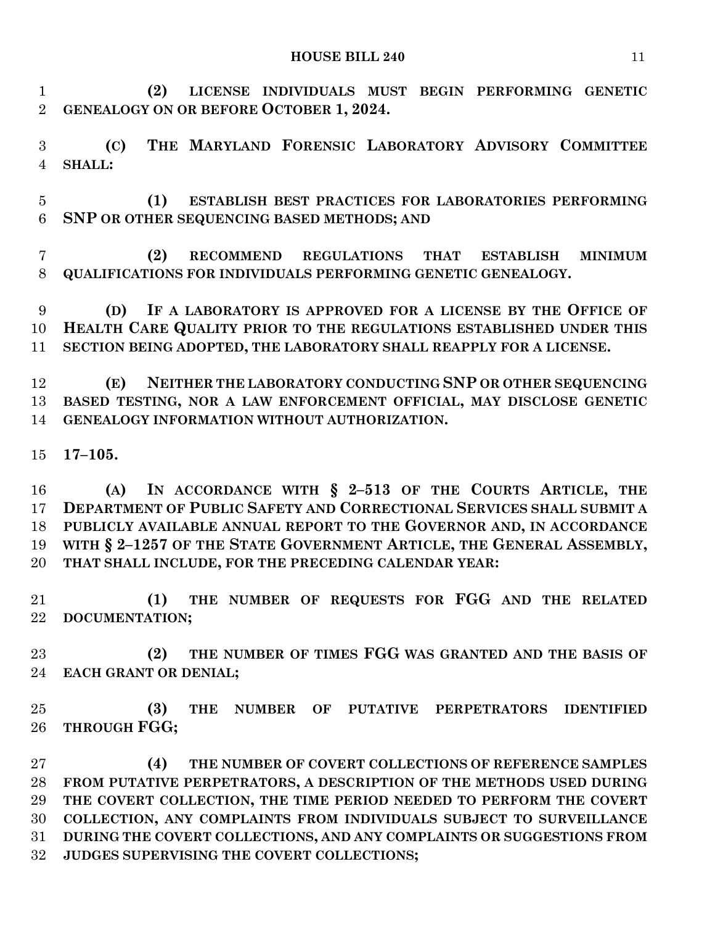**(2) LICENSE INDIVIDUALS MUST BEGIN PERFORMING GENETIC GENEALOGY ON OR BEFORE OCTOBER 1, 2024.**

 **(C) THE MARYLAND FORENSIC LABORATORY ADVISORY COMMITTEE SHALL:**

 **(1) ESTABLISH BEST PRACTICES FOR LABORATORIES PERFORMING SNP OR OTHER SEQUENCING BASED METHODS; AND**

 **(2) RECOMMEND REGULATIONS THAT ESTABLISH MINIMUM QUALIFICATIONS FOR INDIVIDUALS PERFORMING GENETIC GENEALOGY.**

 **(D) IF A LABORATORY IS APPROVED FOR A LICENSE BY THE OFFICE OF HEALTH CARE QUALITY PRIOR TO THE REGULATIONS ESTABLISHED UNDER THIS SECTION BEING ADOPTED, THE LABORATORY SHALL REAPPLY FOR A LICENSE.**

 **(E) NEITHER THE LABORATORY CONDUCTING SNP OR OTHER SEQUENCING BASED TESTING, NOR A LAW ENFORCEMENT OFFICIAL, MAY DISCLOSE GENETIC GENEALOGY INFORMATION WITHOUT AUTHORIZATION.**

**17–105.**

 **(A) IN ACCORDANCE WITH § 2–513 OF THE COURTS ARTICLE, THE DEPARTMENT OF PUBLIC SAFETY AND CORRECTIONAL SERVICES SHALL SUBMIT A PUBLICLY AVAILABLE ANNUAL REPORT TO THE GOVERNOR AND, IN ACCORDANCE WITH § 2–1257 OF THE STATE GOVERNMENT ARTICLE, THE GENERAL ASSEMBLY, THAT SHALL INCLUDE, FOR THE PRECEDING CALENDAR YEAR:**

 **(1) THE NUMBER OF REQUESTS FOR FGG AND THE RELATED DOCUMENTATION;**

 **(2) THE NUMBER OF TIMES FGG WAS GRANTED AND THE BASIS OF EACH GRANT OR DENIAL;**

 **(3) THE NUMBER OF PUTATIVE PERPETRATORS IDENTIFIED THROUGH FGG;**

 **(4) THE NUMBER OF COVERT COLLECTIONS OF REFERENCE SAMPLES FROM PUTATIVE PERPETRATORS, A DESCRIPTION OF THE METHODS USED DURING THE COVERT COLLECTION, THE TIME PERIOD NEEDED TO PERFORM THE COVERT COLLECTION, ANY COMPLAINTS FROM INDIVIDUALS SUBJECT TO SURVEILLANCE DURING THE COVERT COLLECTIONS, AND ANY COMPLAINTS OR SUGGESTIONS FROM JUDGES SUPERVISING THE COVERT COLLECTIONS;**